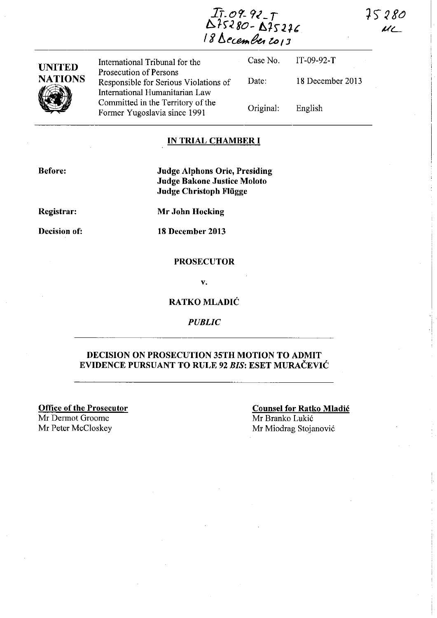75280  $U$ 

'---------,

IT. *o tt-* 9<\_ T b:.1)~ 80- *A7'r2U*  18 *becember 2013* 

| <b>UNITED</b>  | International Tribunal for the                                                                    |           | Case No. $IT-09-92-T$ |
|----------------|---------------------------------------------------------------------------------------------------|-----------|-----------------------|
| <b>NATIONS</b> | Prosecution of Persons<br>Responsible for Serious Violations of<br>International Humanitarian Law | Date:     | 18 December 2013      |
|                | Committed in the Territory of the<br>Former Yugoslavia since 1991                                 | Original: | English               |

### IN TRIAL CHAMBER **I**

Before:

Judge Alphons Orie, Presiding Judge Bakone Justice Moloto Judge Christoph Fliigge

Registrar:

Mr John Hocking

Decision of: 18 December 2013

#### **PROSECUTOR**

v.

### RATKO MLADIĆ

*PUBLIC* 

### DECISION ON PROSECUTION 35TH MOTION TO ADMIT EVIDENCE PURSUANT TO RULE 92 *BIS:* ESET MURAČEVIĆ

Office of the Prosecutor

Mr Dermot Oroome Mr Peter McC10skey

# Counsel for Ratko Mladić Mr Branko Lukić

Mr Miodrag Stojanović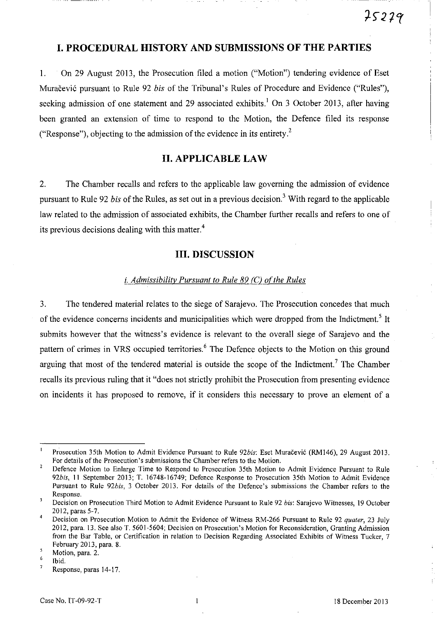# **I. PROCEDURAL HISTORY AND SUBMISSIONS OF THE PARTIES**

l. On 29 August 2013, the Prosecution filed a motion ("Motion") tendering evidence of Eset Muračević pursuant to Rule 92 *bis* of the Tribunal's Rules of Procedure and Evidence ("Rules"), seeking admission of one statement and 29 associated exhibits.<sup>1</sup> On 3 October 2013, after having been granted an extension of time to respond to the Motion, the Defence filed its response ("Response"), objecting to the admission of the evidence in its entirety.<sup>2</sup>

# **II. APPLICABLE LAW**

2. The Chamber recalls and refers to the applicable law governing the admission of evidence pursuant to Rule 92 *bis* of the Rules, as set out in a previous decision.3 With regard to the applicable law related to the admission of associated exhibits, the Chamber further recalls and refers to one of its previous decisions dealing with this matter. $4$ 

# **III. DISCUSSION**

#### *i. Admissibility Pursuant to Rule 89 (C) of the Rules*

3. The tendered material relates to the siege of Sarajevo. The Prosecution concedes that much of the evidence concerns incidents and municipalities which were dropped from the Indictment.<sup>5</sup> It submits however that the witness's evidence is relevant to the overall siege of Sarajevo and the pattern of crimes in VRS occupied territories.<sup>6</sup> The Defence objects to the Motion on this ground arguing that most of the tendered material is outside the scope of the Indictment.<sup>7</sup> The Chamber recalls its previous ruling that it "does not strictly prohibit the Prosecution from presenting evidence on incidents it has proposed to remove, if it considers this necessary to prove an element of a

Prosecution 35th Motion to Admit Evidence Pursuant to Rule *92bis:* Eset Muračević (RM146), 29 August 2013. For details of the Prosecution's submissions the Chamber refers to the Motion.

 $\overline{2}$ Defence Motion to Enlarge Time to Respond to Prosecution 35th Motion to Admit Evidence Pursuant to Rule *92bis,* 11 September 2013; T. 16748-16749; Defence Response to Prosecution 35th Motion to Admit Evidence Pursuant to Rule *926is,* 3 October 2013. For details of the Defence's submissions the Chamber refers to the **Response.** 

 $\overline{\mathbf{3}}$ Decision on Prosecution Third Motion to Admit Evidence Pursuant to Rule 92 *bis:* Sarajevo Witnesses, 19 October 2012, paras 5-7.

Decision on Prosecution Motion to Admit the Evidence of Witness RM-266 Pursuant to Rule 92 *qualer,* 23 July 2012, para. 13. See also T. 5601-5604; Decision on Prosecution' s Motion for Reconsideration, Granting Admission from the Bar Table, or Certification in relation to Decision Regarding Associated Exhibits of Witness Tucker, 7 February 2013, para. 8.

<sup>5</sup> Motion, para. 2.

<sup>6</sup>  7 Ibid.

Response, paras 14-17.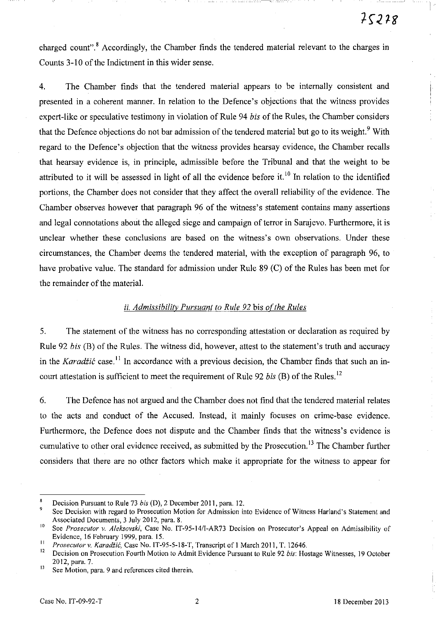!

charged count".<sup>8</sup> Accordingly, the Chamber finds the tendered material relevant to the charges in Counts 3-10 of the Indictment in this wider sense.

4. The Chamber finds that the tendered material appears to be internally consistent and presented in a coherent manner. In relation to the Defence's objections that the witness provides expert-like or speculative testimony in violation of Rule 94 *bis* of the Rules, the Chamber considers that the Defence objections do not bar admission of the tendered material but go to its weight.<sup>9</sup> With regard to the Defence's objection that the witness provides hearsay evidence, the Chamber recalls that hearsay evidence is, in principle, admissible before the Tribunal and that the weight to be attributed to it will be assessed in light of all the evidence before it.<sup>10</sup> In relation to the identified portions, the Chamber does not consider that they affect the overall reliability of the evidence. The Chamber observes however that paragraph 96 of the witness's statement contains manyassertions and legal connotations about the alleged siege and campaign of terror in Sarajevo. Furthermore, it is unclear whether these conclusions are based on the witness's own observations. Under these circumstances, the Chamber deems the tendered material, with the exception of paragraph 96, to have probative value. The standard for admission under Rule 89 (C) of the Rules has been met for the remainder of the material.

### *ii. Admissibility Pursuant to Rule 92 bis of the Rules*

5. The statement of the witness has no corresponding attestation or declaration as required by Rule 92 *bis* (B) of the Rules. The witness did, however, attest to the statement's truth and accuracy in the Karadžić case.<sup>11</sup> In accordance with a previous decision, the Chamber finds that such an incourt attestation is sufficient to meet the requirement of Rule 92 *bis* (B) of the Rules. 12

6. The Defence has not argued and the Chamber does not find that the tendered material relates to the acts and conduct of the Accused. Instead, it mainly focuses on crime-base evidence. Furthermore, the Defence does not dispute and the Chamber finds that the witness's evidence is cumulative to other oral evidence received, as submitted by the Prosecution.<sup>13</sup> The Chamber further considers that there are no other factors which make it appropriate for the witness to appear for

Decision Pursuant to Rule 73 *bis* (D), 2 December 2011, para. 12.

<sup>9</sup>**See Decision with regard to Prosecution Motion for Admission into Evidence** of Witness **Harland's Statement and**  Associated Documents, 3 July 2012, para. 8.

<sup>&</sup>lt;sup>10</sup> See *Prosecutor v. Aleksovski*, Case No. IT-95-14/1-AR73 Decision on Prosecutor's Appeal on Admissibility of Evidence, 16 February 1999, para. 15.

<sup>&</sup>lt;sup>11</sup> Prosecutor v. Karadžić, Case No. IT-95-5-18-T, Transcript of 1 March 2011, T. 12646.

<sup>12</sup> Decision on Prosecution Fourth Motion to Admit Evidence Pursuant to Rule 92 *bis:* Hostage Witnesses, 19 October 2012, para. 7.

<sup>13</sup>**See Motion, para. 9 and references cited therein.**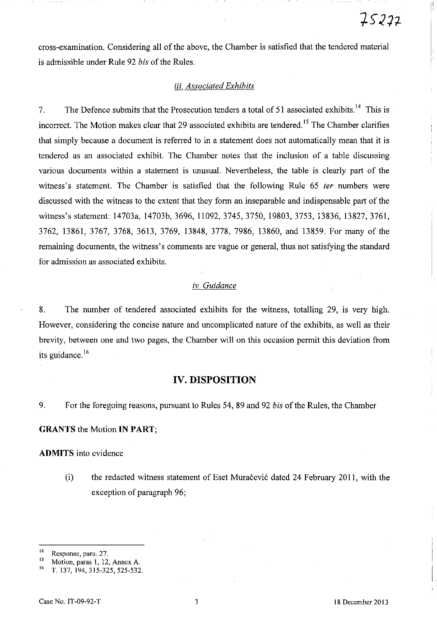cross-examination. Considering all of the above, the Chamber is satisfied that the tendered material is admissible under Rule 92 *bis* of the Rules.

### iii. *Associated Exhibits*

7. The Defence submits that the Prosecution tenders a total of 51 associated exhibits.<sup>14</sup> This is incorrect. The Motion makes clear that 29 associated exhibits are tendered.<sup>15</sup> The Chamber clarifies that simply because a document is referred to in a statement does not automatically mean that it is tendered as an associated exhibit. The Chamber notes that the inclusion of a table discussing various documents within a statement is unusual. Nevertheless, the table is clearly part of the witness's statement. The Chamber is satisfied that the following Rule 65 *ter* numbers were discussed with the witness to the extent that they form an inseparable and indispensable part of the witness's statement: 14703a, 14703b, 3696, 11092,3745,3750, 19803,3753, 13836, 13827,3761, 3762, 13861, 3767, 3768, 3613, 3769, 13848, 3778, 7986, 13860, and 13859. For many of the remaining documents, the witness's comments are vague or general, thus not satisfying the standard for admission as associated exhibits.

## *iv. Guidance*

8. The number of tendered associated exhibits for the witness, totalling 29, is very high. However, considering the concise nature and uncomplicated nature of the exhibits, as well as their brevity, between one and two pages, the Chamber will on this occasion permit this deviation from its guidance.<sup>16</sup>

### **IV. DISPOSITION**

9. For the foregoing reasons, pursuant to Rules 54, 89 and 92 *bis* of the Rules, the Chamber

#### **GRANTS** the Motion **IN PART;**

**ADMITS** into evidence

(i) the redacted witness statement of Eset Muračević dated 24 February 2011, with the exception of paragraph 96;

**<sup>14</sup>Response, para. 27.** 

<sup>&</sup>lt;sup>15</sup> Motion, paras 1, 12, Annex A.

T. 137, 194, 315-325, 525-532.